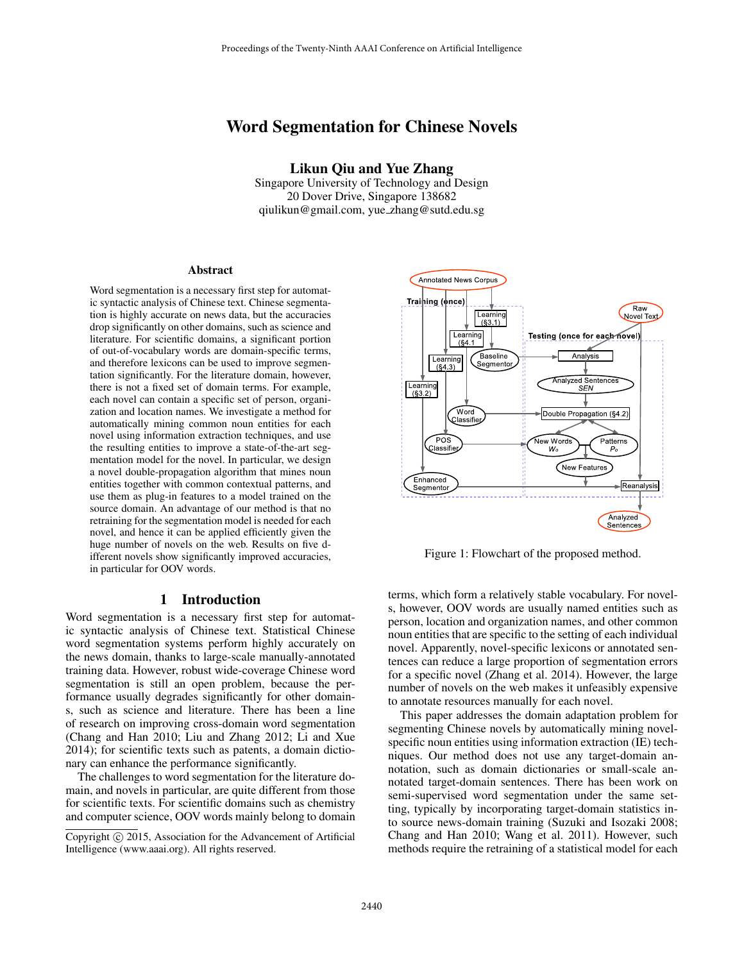# Word Segmentation for Chinese Novels

Likun Qiu and Yue Zhang

Singapore University of Technology and Design 20 Dover Drive, Singapore 138682 qiulikun@gmail.com, yue zhang@sutd.edu.sg

#### Abstract

Word segmentation is a necessary first step for automatic syntactic analysis of Chinese text. Chinese segmentation is highly accurate on news data, but the accuracies drop significantly on other domains, such as science and literature. For scientific domains, a significant portion of out-of-vocabulary words are domain-specific terms, and therefore lexicons can be used to improve segmentation significantly. For the literature domain, however, there is not a fixed set of domain terms. For example, each novel can contain a specific set of person, organization and location names. We investigate a method for automatically mining common noun entities for each novel using information extraction techniques, and use the resulting entities to improve a state-of-the-art segmentation model for the novel. In particular, we design a novel double-propagation algorithm that mines noun entities together with common contextual patterns, and use them as plug-in features to a model trained on the source domain. An advantage of our method is that no retraining for the segmentation model is needed for each novel, and hence it can be applied efficiently given the huge number of novels on the web. Results on five different novels show significantly improved accuracies, in particular for OOV words.

## 1 Introduction

Word segmentation is a necessary first step for automatic syntactic analysis of Chinese text. Statistical Chinese word segmentation systems perform highly accurately on the news domain, thanks to large-scale manually-annotated training data. However, robust wide-coverage Chinese word segmentation is still an open problem, because the performance usually degrades significantly for other domains, such as science and literature. There has been a line of research on improving cross-domain word segmentation (Chang and Han 2010; Liu and Zhang 2012; Li and Xue 2014); for scientific texts such as patents, a domain dictionary can enhance the performance significantly.

The challenges to word segmentation for the literature domain, and novels in particular, are quite different from those for scientific texts. For scientific domains such as chemistry and computer science, OOV words mainly belong to domain



Figure 1: Flowchart of the proposed method.

terms, which form a relatively stable vocabulary. For novels, however, OOV words are usually named entities such as person, location and organization names, and other common noun entities that are specific to the setting of each individual novel. Apparently, novel-specific lexicons or annotated sentences can reduce a large proportion of segmentation errors for a specific novel (Zhang et al. 2014). However, the large number of novels on the web makes it unfeasibly expensive to annotate resources manually for each novel.

This paper addresses the domain adaptation problem for segmenting Chinese novels by automatically mining novelspecific noun entities using information extraction (IE) techniques. Our method does not use any target-domain annotation, such as domain dictionaries or small-scale annotated target-domain sentences. There has been work on semi-supervised word segmentation under the same setting, typically by incorporating target-domain statistics into source news-domain training (Suzuki and Isozaki 2008; Chang and Han 2010; Wang et al. 2011). However, such methods require the retraining of a statistical model for each

Copyright © 2015, Association for the Advancement of Artificial Intelligence (www.aaai.org). All rights reserved.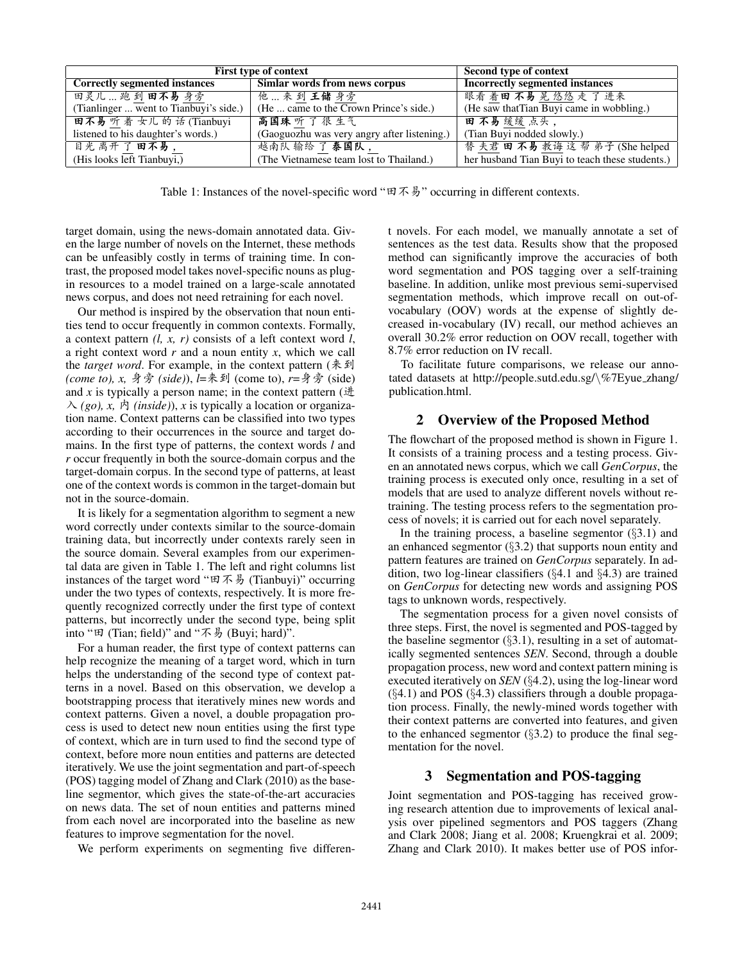| First type of context                  | Second type of context                      |                                                 |
|----------------------------------------|---------------------------------------------|-------------------------------------------------|
| <b>Correctly segmented instances</b>   | Simlar words from news corpus               | <b>Incorrectly segmented instances</b>          |
| 田灵儿  跑 到 田不易 身旁                        | 他…来到王储身旁                                    | 眼看着田不易晃悠悠走了进来                                   |
| (Tianlinger  went to Tianbuyi's side.) | (He  came to the Crown Prince's side.)      | (He saw that Tian Buyi came in wobbling.)       |
| 田不易听着女儿的话(Tianbuyi                     | 高国珠听了很生气                                    | 田不易缓缓点头,                                        |
| listened to his daughter's words.)     | (Gaoguozhu was very angry after listening.) | (Tian Buyi nodded slowly.)                      |
| 目光离开了田不易,                              | 越南队 输给了 泰国队,                                | 替夫君田不易教诲这帮弟子(She helped                         |
| (His looks left Tianbuyi,)             | (The Vietnamese team lost to Thailand.)     | her husband Tian Buyi to teach these students.) |

Table 1: Instances of the novel-specific word " $\pi \bar{\ast} \bar{\ast}$ " occurring in different contexts.

target domain, using the news-domain annotated data. Given the large number of novels on the Internet, these methods can be unfeasibly costly in terms of training time. In contrast, the proposed model takes novel-specific nouns as plugin resources to a model trained on a large-scale annotated news corpus, and does not need retraining for each novel.

Our method is inspired by the observation that noun entities tend to occur frequently in common contexts. Formally, a context pattern *(l, x, r)* consists of a left context word *l*, a right context word *r* and a noun entity *x*, which we call the *target word*. For example, in the context pattern ( $\ddagger \mathcal{F}$   $\mathfrak{D}$ ) *(come to), x, 身旁 (side)), l*=来到 (come to), *r*=身旁 (side) and  $x$  is typically a person name; in the context pattern ( $\#$  $\wedge$  (go), x,  $\wedge$  (inside)), x is typically a location or organization name. Context patterns can be classified into two types according to their occurrences in the source and target domains. In the first type of patterns, the context words *l* and *r* occur frequently in both the source-domain corpus and the target-domain corpus. In the second type of patterns, at least one of the context words is common in the target-domain but not in the source-domain.

It is likely for a segmentation algorithm to segment a new word correctly under contexts similar to the source-domain training data, but incorrectly under contexts rarely seen in the source domain. Several examples from our experimental data are given in Table 1. The left and right columns list instances of the target word " $\boxplus \cancel{\pi} \cancel{\#}$  (Tianbuyi)" occurring under the two types of contexts, respectively. It is more frequently recognized correctly under the first type of context patterns, but incorrectly under the second type, being split into " $\boxplus$  (Tian; field)" and " $\overline{\wedge}$   $\overline{\wedge}$  (Buyi; hard)".

For a human reader, the first type of context patterns can help recognize the meaning of a target word, which in turn helps the understanding of the second type of context patterns in a novel. Based on this observation, we develop a bootstrapping process that iteratively mines new words and context patterns. Given a novel, a double propagation process is used to detect new noun entities using the first type of context, which are in turn used to find the second type of context, before more noun entities and patterns are detected iteratively. We use the joint segmentation and part-of-speech (POS) tagging model of Zhang and Clark (2010) as the baseline segmentor, which gives the state-of-the-art accuracies on news data. The set of noun entities and patterns mined from each novel are incorporated into the baseline as new features to improve segmentation for the novel.

We perform experiments on segmenting five differen-

t novels. For each model, we manually annotate a set of sentences as the test data. Results show that the proposed method can significantly improve the accuracies of both word segmentation and POS tagging over a self-training baseline. In addition, unlike most previous semi-supervised segmentation methods, which improve recall on out-ofvocabulary (OOV) words at the expense of slightly decreased in-vocabulary (IV) recall, our method achieves an overall 30.2% error reduction on OOV recall, together with 8.7% error reduction on IV recall.

To facilitate future comparisons, we release our annotated datasets at http://people.sutd.edu.sg/\%7Eyue zhang/ publication.html.

#### 2 Overview of the Proposed Method

The flowchart of the proposed method is shown in Figure 1. It consists of a training process and a testing process. Given an annotated news corpus, which we call *GenCorpus*, the training process is executed only once, resulting in a set of models that are used to analyze different novels without retraining. The testing process refers to the segmentation process of novels; it is carried out for each novel separately.

In the training process, a baseline segmentor  $(\S3.1)$  and an enhanced segmentor (§3.2) that supports noun entity and pattern features are trained on *GenCorpus* separately. In addition, two log-linear classifiers (§4.1 and §4.3) are trained on *GenCorpus* for detecting new words and assigning POS tags to unknown words, respectively.

The segmentation process for a given novel consists of three steps. First, the novel is segmented and POS-tagged by the baseline segmentor  $(\S 3.1)$ , resulting in a set of automatically segmented sentences *SEN*. Second, through a double propagation process, new word and context pattern mining is executed iteratively on *SEN* (§4.2), using the log-linear word  $(\S4.1)$  and POS  $(\S4.3)$  classifiers through a double propagation process. Finally, the newly-mined words together with their context patterns are converted into features, and given to the enhanced segmentor  $(\S3.2)$  to produce the final segmentation for the novel.

### 3 Segmentation and POS-tagging

Joint segmentation and POS-tagging has received growing research attention due to improvements of lexical analysis over pipelined segmentors and POS taggers (Zhang and Clark 2008; Jiang et al. 2008; Kruengkrai et al. 2009; Zhang and Clark 2010). It makes better use of POS infor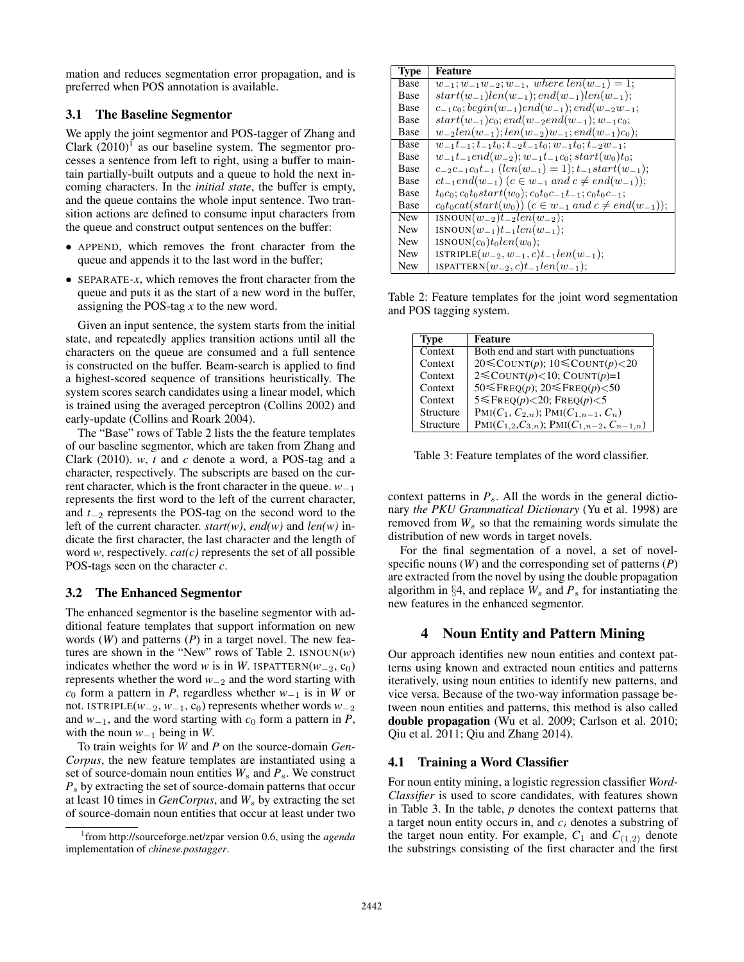mation and reduces segmentation error propagation, and is preferred when POS annotation is available.

### 3.1 The Baseline Segmentor

We apply the joint segmentor and POS-tagger of Zhang and Clark  $(2010)^{1}$  as our baseline system. The segmentor processes a sentence from left to right, using a buffer to maintain partially-built outputs and a queue to hold the next incoming characters. In the *initial state*, the buffer is empty, and the queue contains the whole input sentence. Two transition actions are defined to consume input characters from the queue and construct output sentences on the buffer:

- APPEND, which removes the front character from the queue and appends it to the last word in the buffer;
- SEPARATE-*x*, which removes the front character from the queue and puts it as the start of a new word in the buffer, assigning the POS-tag *x* to the new word.

Given an input sentence, the system starts from the initial state, and repeatedly applies transition actions until all the characters on the queue are consumed and a full sentence is constructed on the buffer. Beam-search is applied to find a highest-scored sequence of transitions heuristically. The system scores search candidates using a linear model, which is trained using the averaged perceptron (Collins 2002) and early-update (Collins and Roark 2004).

The "Base" rows of Table 2 lists the the feature templates of our baseline segmentor, which are taken from Zhang and Clark (2010). *w*, *t* and *c* denote a word, a POS-tag and a character, respectively. The subscripts are based on the current character, which is the front character in the queue. *w*<sup>−</sup><sup>1</sup> represents the first word to the left of the current character, and *t*<sup>−</sup><sup>2</sup> represents the POS-tag on the second word to the left of the current character. *start(w)*, *end(w)* and *len(w)* indicate the first character, the last character and the length of word *w*, respectively. *cat(c)* represents the set of all possible POS-tags seen on the character *c*.

### 3.2 The Enhanced Segmentor

The enhanced segmentor is the baseline segmentor with additional feature templates that support information on new words (*W*) and patterns (*P*) in a target novel. The new features are shown in the "New" rows of Table 2.  $\text{ISNOUN}(w)$ indicates whether the word *w* is in *W*. ISPATTERN( $w_{-2}$ , c<sub>0</sub>) represents whether the word *w*<sup>−</sup><sup>2</sup> and the word starting with *c*<sup>0</sup> form a pattern in *P*, regardless whether *w*<sup>−</sup><sup>1</sup> is in *W* or not. ISTRIPLE( $w_{-2}$ ,  $w_{-1}$ , c<sub>0</sub>) represents whether words  $w_{-2}$ and  $w_{-1}$ , and the word starting with  $c_0$  form a pattern in *P*, with the noun *w*<sup>−</sup><sup>1</sup> being in *W*.

To train weights for *W* and *P* on the source-domain *Gen-Corpus*, the new feature templates are instantiated using a set of source-domain noun entities  $W_s$  and  $P_s$ . We construct *P*<sup>s</sup> by extracting the set of source-domain patterns that occur at least 10 times in *GenCorpus*, and  $W_s$  by extracting the set of source-domain noun entities that occur at least under two

| <b>Type</b> | Feature                                                                                           |
|-------------|---------------------------------------------------------------------------------------------------|
| Base        | $w_{-1}; w_{-1}w_{-2}; w_{-1}, where len(w_{-1}) = 1;$                                            |
| Base        | $start(w_{-1})len(w_{-1}); end(w_{-1})len(w_{-1});$                                               |
| Base        | $c_{-1}c_0$ ; begin(w <sub>-1</sub> )end(w <sub>-1</sub> ); end(w <sub>-2</sub> w <sub>-1</sub> ; |
| Base        | $start(w_{-1})c_0; end(w_{-2}end(w_{-1}); w_{-1}c_0;$                                             |
| Base        | $w_{-2}len(w_{-1}); len(w_{-2})w_{-1}; end(w_{-1})c_0);$                                          |
| Base        | $w_{-1}t_{-1}$ ; $t_{-1}t_0$ ; $t_{-2}t_{-1}t_0$ ; $w_{-1}t_0$ ; $t_{-2}w_{-1}$ ;                 |
| <b>Base</b> | $w_{-1}t_{-1}end(w_{-2}); w_{-1}t_{-1}c_0; start(w_0)t_0;$                                        |
| <b>Base</b> | $c_{-2}c_{-1}c_0t_{-1}$ (len(w <sub>-1</sub> ) = 1); $t_{-1}start(w_{-1})$ ;                      |
| Base        | $ct_{-1}end(w_{-1})$ $(c \in w_{-1}$ and $c \neq end(w_{-1})$ ;                                   |
| Base        | $t_0c_0$ ; $c_0t_0start(w_0)$ ; $c_0t_0c_{-1}t_{-1}$ ; $c_0t_0c_{-1}$ ;                           |
| Base        | $c_0t_0cat(start(w_0))$ $(c \in w_{-1} \text{ and } c \neq end(w_{-1}))$ ;                        |
| <b>New</b>  | $ISNOUN(w_{-2})t_{-2}len(w_{-2});$                                                                |
| <b>New</b>  | $\text{ISNOUN}(w_{-1})t_{-1}len(w_{-1});$                                                         |
| <b>New</b>  | $\text{ISNOUN}(c_0) t_0 len(w_0);$                                                                |
| <b>New</b>  | ISTRIPLE $(w_{-2}, w_{-1}, c)t_{-1}len(w_{-1});$                                                  |
| <b>New</b>  | ISPATTERN $(w_{-2}, c)t_{-1}len(w_{-1});$                                                         |

Table 2: Feature templates for the joint word segmentation and POS tagging system.

| Type      | <b>Feature</b>                                     |
|-----------|----------------------------------------------------|
| Context   | Both end and start with punctuations               |
| Context   | 20 $\leq$ COUNT(p); 10 $\leq$ COUNT(p) < 20        |
| Context   | $2 \leq \text{COUNT}(p) < 10$ ; COUNT(p)=1         |
| Context   | 50 $\leq$ FREQ(p); 20 $\leq$ FREQ(p) < 50          |
| Context   | $5 \leq$ FREQ $(p)$ <20; FREQ $(p)$ <5             |
| Structure | $PMI(C_1, C_{2,n})$ ; $PMI(C_{1,n-1}, C_n)$        |
| Structure | $PMI(C_{1,2}, C_{3,n}); PMI(C_{1,n-2}, C_{n-1,n})$ |

Table 3: Feature templates of the word classifier.

context patterns in  $P_s$ . All the words in the general dictionary *the PKU Grammatical Dictionary* (Yu et al. 1998) are removed from  $W<sub>s</sub>$  so that the remaining words simulate the distribution of new words in target novels.

For the final segmentation of a novel, a set of novelspecific nouns (*W*) and the corresponding set of patterns (*P*) are extracted from the novel by using the double propagation algorithm in  $\S 4$ , and replace  $W_s$  and  $P_s$  for instantiating the new features in the enhanced segmentor.

# 4 Noun Entity and Pattern Mining

Our approach identifies new noun entities and context patterns using known and extracted noun entities and patterns iteratively, using noun entities to identify new patterns, and vice versa. Because of the two-way information passage between noun entities and patterns, this method is also called double propagation (Wu et al. 2009; Carlson et al. 2010; Qiu et al. 2011; Qiu and Zhang 2014).

### 4.1 Training a Word Classifier

For noun entity mining, a logistic regression classifier *Word-Classifier* is used to score candidates, with features shown in Table 3. In the table, *p* denotes the context patterns that a target noun entity occurs in, and  $c_i$  denotes a substring of the target noun entity. For example,  $C_1$  and  $C_{(1,2)}$  denote the substrings consisting of the first character and the first

<sup>1</sup> from http://sourceforge.net/zpar version 0.6, using the *agenda* implementation of *chinese.postagger*.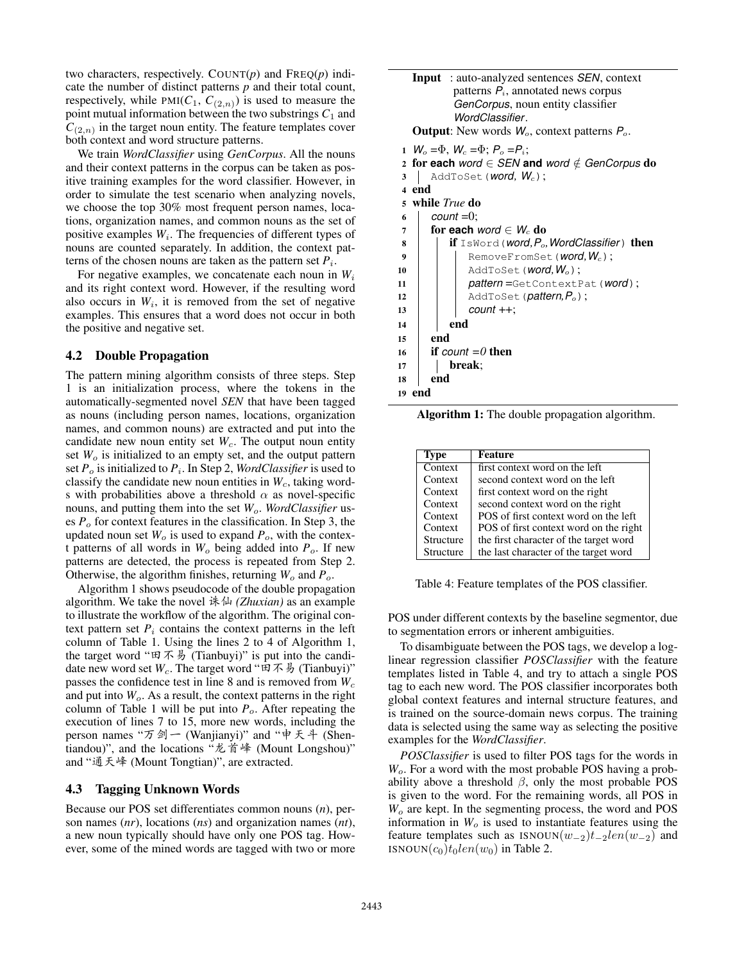two characters, respectively. COUNT(*p*) and FREQ(*p*) indicate the number of distinct patterns *p* and their total count, respectively, while  $PMI(C_1, C_{(2,n)})$  is used to measure the point mutual information between the two substrings  $C_1$  and  $C_{(2,n)}$  in the target noun entity. The feature templates cover both context and word structure patterns.

We train *WordClassifier* using *GenCorpus*. All the nouns and their context patterns in the corpus can be taken as positive training examples for the word classifier. However, in order to simulate the test scenario when analyzing novels, we choose the top 30% most frequent person names, locations, organization names, and common nouns as the set of positive examples  $W_i$ . The frequencies of different types of nouns are counted separately. In addition, the context patterns of the chosen nouns are taken as the pattern set  $P_i$ .

For negative examples, we concatenate each noun in  $W_i$ and its right context word. However, if the resulting word also occurs in  $W_i$ , it is removed from the set of negative examples. This ensures that a word does not occur in both the positive and negative set.

#### 4.2 Double Propagation

The pattern mining algorithm consists of three steps. Step 1 is an initialization process, where the tokens in the automatically-segmented novel *SEN* that have been tagged as nouns (including person names, locations, organization names, and common nouns) are extracted and put into the candidate new noun entity set  $W_c$ . The output noun entity set  $W<sub>o</sub>$  is initialized to an empty set, and the output pattern set *P*<sup>o</sup> is initialized to *P*<sup>i</sup> . In Step 2, *WordClassifier* is used to classify the candidate new noun entities in  $W_c$ , taking words with probabilities above a threshold  $\alpha$  as novel-specific nouns, and putting them into the set *W*o. *WordClassifier* uses  $P<sub>o</sub>$  for context features in the classification. In Step 3, the updated noun set  $W_0$  is used to expand  $P_0$ , with the context patterns of all words in  $W_0$  being added into  $P_0$ . If new patterns are detected, the process is repeated from Step 2. Otherwise, the algorithm finishes, returning  $W_o$  and  $P_o$ .

Algorithm 1 shows pseudocode of the double propagation algorithm. We take the novel 诛仙 (*Zhuxian*) as an example to illustrate the workflow of the algorithm. The original context pattern set  $P_i$  contains the context patterns in the left column of Table 1. Using the lines 2 to 4 of Algorithm 1, the target word " $\mathbb{E} \mathcal{F} \mathcal{F}$  (Tianbuyi)" is put into the candidate new word set  $W_c$ . The target word " $\mathfrak{A} \mathcal{F} \mathcal{F}$ " (Tianbuyi)" passes the confidence test in line 8 and is removed from  $W_c$ and put into  $W<sub>o</sub>$ . As a result, the context patterns in the right column of Table 1 will be put into  $P_o$ . After repeating the execution of lines 7 to 15, more new words, including the person names "万剑一 (Wanjianyi)" and "申天斗 (Shentiandou)", and the locations "龙首峰 (Mount Longshou)" and "通天峰 (Mount Tongtian)", are extracted.

#### 4.3 Tagging Unknown Words

Because our POS set differentiates common nouns (*n*), person names (*nr*), locations (*ns*) and organization names (*nt*), a new noun typically should have only one POS tag. However, some of the mined words are tagged with two or more

|       | <b>Input</b> : auto-analyzed sentences <i>SEN</i> , context<br>patterns $P_i$ , annotated news corpus<br><i>GenCorpus</i> , noun entity classifier<br>WordClassifier.<br><b>Output:</b> New words $W_0$ , context patterns $P_0$ .<br>1 $W_0 = \Phi$ , $W_c = \Phi$ ; $P_0 = P_i$ ; |
|-------|-------------------------------------------------------------------------------------------------------------------------------------------------------------------------------------------------------------------------------------------------------------------------------------|
|       | 2 for each word $\in$ SEN and word $\notin$ GenCorpus do                                                                                                                                                                                                                            |
| 3     | AddToSet ( <i>word</i> , $W_c$ );                                                                                                                                                                                                                                                   |
| 4 end |                                                                                                                                                                                                                                                                                     |
|       | 5 while True do                                                                                                                                                                                                                                                                     |
| 6     | $count = 0$ ;                                                                                                                                                                                                                                                                       |
| 7     | for each <i>word</i> $\in$ $W_c$ do                                                                                                                                                                                                                                                 |
| 8     | <b>if</b> IsWord ( <i>word, <math>P_o</math>, WordClassifier</i> ) then                                                                                                                                                                                                             |
| 9     | RemoveFromSet( <b>word</b> , $W_c$ );                                                                                                                                                                                                                                               |
| 10    | AddToSet ( <i>word</i> , $W_o$ );                                                                                                                                                                                                                                                   |
| 11    | pattern=GetContextPat(word);                                                                                                                                                                                                                                                        |
| 12    | $AddToSet$ ( <i>pattern,P<sub>o</sub></i> );                                                                                                                                                                                                                                        |
| 13    | $count++;$                                                                                                                                                                                                                                                                          |
| 14    | end                                                                                                                                                                                                                                                                                 |
| 15    | end                                                                                                                                                                                                                                                                                 |
| 16    | if count $=0$ then                                                                                                                                                                                                                                                                  |
| 17    | break;                                                                                                                                                                                                                                                                              |
| 18    | end                                                                                                                                                                                                                                                                                 |
| 19    | end                                                                                                                                                                                                                                                                                 |

Algorithm 1: The double propagation algorithm.

| <b>Type</b> | <b>Feature</b>                         |
|-------------|----------------------------------------|
| Context     | first context word on the left         |
| Context     | second context word on the left        |
| Context     | first context word on the right        |
| Context     | second context word on the right       |
| Context     | POS of first context word on the left  |
| Context     | POS of first context word on the right |
| Structure   | the first character of the target word |
| Structure   | the last character of the target word  |

Table 4: Feature templates of the POS classifier.

POS under different contexts by the baseline segmentor, due to segmentation errors or inherent ambiguities.

To disambiguate between the POS tags, we develop a loglinear regression classifier *POSClassifier* with the feature templates listed in Table 4, and try to attach a single POS tag to each new word. The POS classifier incorporates both global context features and internal structure features, and is trained on the source-domain news corpus. The training data is selected using the same way as selecting the positive examples for the *WordClassifier*.

*POSClassifier* is used to filter POS tags for the words in *W*o. For a word with the most probable POS having a probability above a threshold  $\beta$ , only the most probable POS is given to the word. For the remaining words, all POS in *W*<sup>o</sup> are kept. In the segmenting process, the word and POS information in  $W<sub>o</sub>$  is used to instantiate features using the feature templates such as  $\text{ISNOUN}(w_{-2})t_{-2}len(w_{-2})$  and ISNOUN $(c_0)t_0len(w_0)$  in Table 2.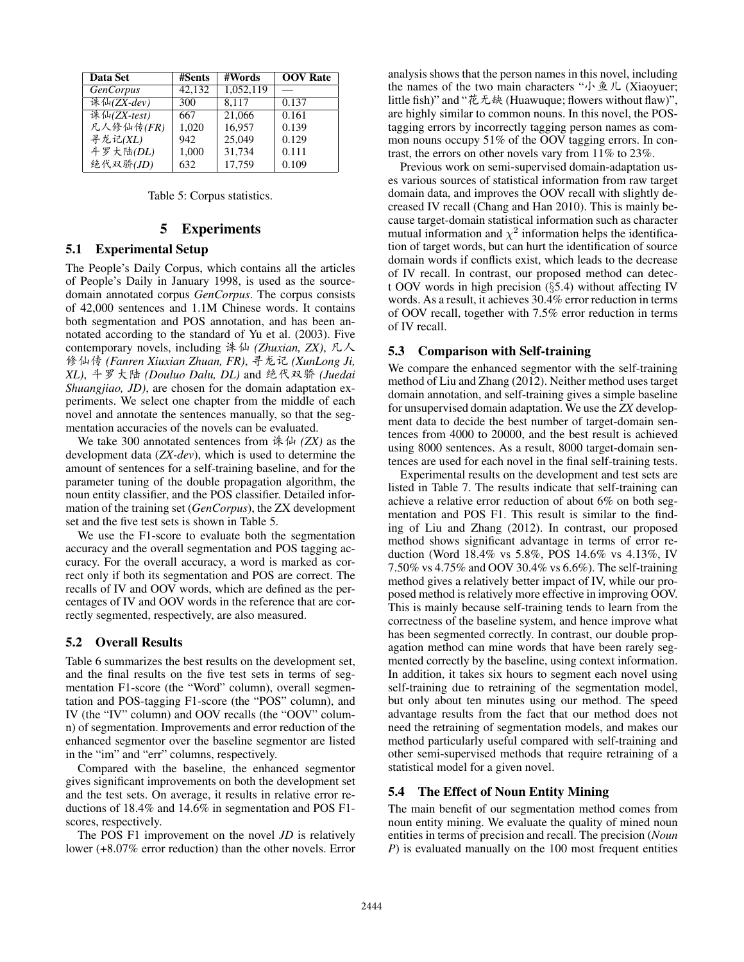| <b>Data Set</b>  | #Sents | #Words    | <b>OOV</b> Rate |
|------------------|--------|-----------|-----------------|
| <b>GenCorpus</b> | 42,132 | 1,052,119 |                 |
| 诛仙(ZX-dev)       | 300    | 8,117     | 0.137           |
| 诛仙(ZX-test)      | 667    | 21,066    | 0.161           |
| 凡人修仙传(FR)        | 1,020  | 16.957    | 0.139           |
| 寻龙记(XL)          | 942    | 25,049    | 0.129           |
| 斗罗大陆(DL)         | 1,000  | 31,734    | 0.111           |
| 绝代双骄(JD)         | 632    | 17,759    | 0.109           |

|  |  | Table 5: Corpus statistics. |
|--|--|-----------------------------|
|--|--|-----------------------------|

#### 5 Experiments

### 5.1 Experimental Setup

The People's Daily Corpus, which contains all the articles of People's Daily in January 1998, is used as the sourcedomain annotated corpus *GenCorpus*. The corpus consists of 42,000 sentences and 1.1M Chinese words. It contains both segmentation and POS annotation, and has been annotated according to the standard of Yu et al. (2003). Five contemporary novels, including 诛仙 (Zhuxian, ZX), 凡人 修仙传 (Fanren Xiuxian Zhuan, FR), 寻龙记 (XunLong Ji, *XL*), 斗罗大陆 (*Douluo Dalu, DL*) and 绝代双骄 (*Juedai Shuangjiao, JD)*, are chosen for the domain adaptation experiments. We select one chapter from the middle of each novel and annotate the sentences manually, so that the segmentation accuracies of the novels can be evaluated.

We take 300 annotated sentences from  $\frac{1}{2}$  *(ZX)* as the development data (*ZX-dev*), which is used to determine the amount of sentences for a self-training baseline, and for the parameter tuning of the double propagation algorithm, the noun entity classifier, and the POS classifier. Detailed information of the training set (*GenCorpus*), the ZX development set and the five test sets is shown in Table 5.

We use the F1-score to evaluate both the segmentation accuracy and the overall segmentation and POS tagging accuracy. For the overall accuracy, a word is marked as correct only if both its segmentation and POS are correct. The recalls of IV and OOV words, which are defined as the percentages of IV and OOV words in the reference that are correctly segmented, respectively, are also measured.

### 5.2 Overall Results

Table 6 summarizes the best results on the development set, and the final results on the five test sets in terms of segmentation F1-score (the "Word" column), overall segmentation and POS-tagging F1-score (the "POS" column), and IV (the "IV" column) and OOV recalls (the "OOV" column) of segmentation. Improvements and error reduction of the enhanced segmentor over the baseline segmentor are listed in the "im" and "err" columns, respectively.

Compared with the baseline, the enhanced segmentor gives significant improvements on both the development set and the test sets. On average, it results in relative error reductions of 18.4% and 14.6% in segmentation and POS F1 scores, respectively.

The POS F1 improvement on the novel *JD* is relatively lower (+8.07% error reduction) than the other novels. Error analysis shows that the person names in this novel, including the names of the two main characters "小鱼儿 (Xiaoyuer; little fish)" and "花无缺 (Huawuque; flowers without flaw)", are highly similar to common nouns. In this novel, the POStagging errors by incorrectly tagging person names as common nouns occupy 51% of the OOV tagging errors. In contrast, the errors on other novels vary from 11% to 23%.

Previous work on semi-supervised domain-adaptation uses various sources of statistical information from raw target domain data, and improves the OOV recall with slightly decreased IV recall (Chang and Han 2010). This is mainly because target-domain statistical information such as character mutual information and  $\chi^2$  information helps the identification of target words, but can hurt the identification of source domain words if conflicts exist, which leads to the decrease of IV recall. In contrast, our proposed method can detect OOV words in high precision (§5.4) without affecting IV words. As a result, it achieves 30.4% error reduction in terms of OOV recall, together with 7.5% error reduction in terms of IV recall.

#### 5.3 Comparison with Self-training

We compare the enhanced segmentor with the self-training method of Liu and Zhang (2012). Neither method uses target domain annotation, and self-training gives a simple baseline for unsupervised domain adaptation. We use the *ZX* development data to decide the best number of target-domain sentences from 4000 to 20000, and the best result is achieved using 8000 sentences. As a result, 8000 target-domain sentences are used for each novel in the final self-training tests.

Experimental results on the development and test sets are listed in Table 7. The results indicate that self-training can achieve a relative error reduction of about 6% on both segmentation and POS F1. This result is similar to the finding of Liu and Zhang (2012). In contrast, our proposed method shows significant advantage in terms of error reduction (Word 18.4% vs 5.8%, POS 14.6% vs 4.13%, IV 7.50% vs 4.75% and OOV 30.4% vs 6.6%). The self-training method gives a relatively better impact of IV, while our proposed method is relatively more effective in improving OOV. This is mainly because self-training tends to learn from the correctness of the baseline system, and hence improve what has been segmented correctly. In contrast, our double propagation method can mine words that have been rarely segmented correctly by the baseline, using context information. In addition, it takes six hours to segment each novel using self-training due to retraining of the segmentation model, but only about ten minutes using our method. The speed advantage results from the fact that our method does not need the retraining of segmentation models, and makes our method particularly useful compared with self-training and other semi-supervised methods that require retraining of a statistical model for a given novel.

### 5.4 The Effect of Noun Entity Mining

The main benefit of our segmentation method comes from noun entity mining. We evaluate the quality of mined noun entities in terms of precision and recall. The precision (*Noun P*) is evaluated manually on the 100 most frequent entities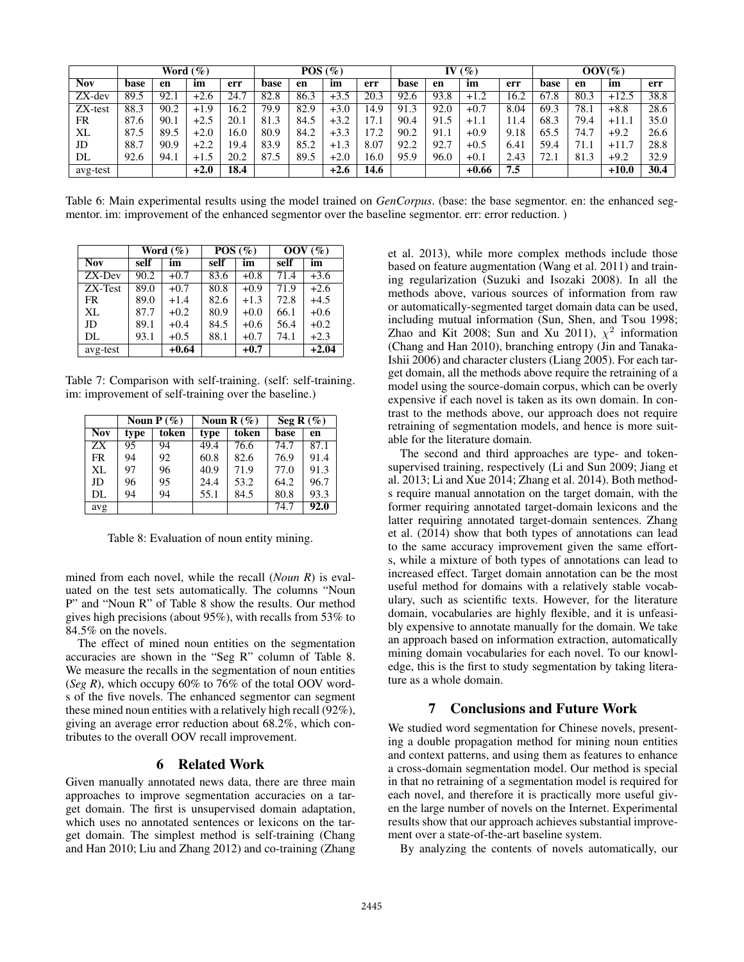|            |      | POS(%) |        | $($ %)<br>IV |      |      | $OOV(\%)$ |      |      |      |         |      |      |      |         |      |
|------------|------|--------|--------|--------------|------|------|-----------|------|------|------|---------|------|------|------|---------|------|
| <b>Nov</b> | base | en     | im     | err          | base | en   | im        | err  | base | en   | im      | err  | base | en   | im      | err  |
| $ZX$ -dev  | 89.5 | 92.1   | $+2.6$ | 24.7         | 82.8 | 86.3 | $+3.5$    | 20.3 | 92.6 | 93.8 | $+1.2$  | 16.2 | 67.8 | 80.3 | $+12.5$ | 38.8 |
| $ZX-test$  | 88.3 | 90.2   | $+1.9$ | 16.2         | 79.9 | 82.9 | $+3.0$    | 14.9 | 91.3 | 92.0 | $+0.7$  | 8.04 | 69.3 | 78.1 | $+8.8$  | 28.6 |
| FR         | 87.6 | 90.1   | $+2.5$ | 20.1         | 81.3 | 84.5 | $+3.2$    | 17.1 | 90.4 | 91.5 | $+1.1$  | 11.4 | 68.3 | 79.4 | $+11.1$ | 35.0 |
| XL         | 87.5 | 89.5   | $+2.0$ | 16.0         | 80.9 | 84.2 | $+3.3$    | 17.2 | 90.2 | 91.1 | $+0.9$  | 9.18 | 65.5 | 74.7 | $+9.2$  | 26.6 |
| JD         | 88.7 | 90.9   | $+2.2$ | 19.4         | 83.9 | 85.2 | $+1.3$    | 8.07 | 92.2 | 92.7 | $+0.5$  | 6.41 | 59.4 | 71.1 | $+11.7$ | 28.8 |
| DL         | 92.6 | 94.1   | $+1.5$ | 20.2         | 87.5 | 89.5 | $+2.0$    | 16.0 | 95.9 | 96.0 | $+0.1$  | 2.43 | 72.1 | 81.3 | $+9.2$  | 32.9 |
| avg-test   |      |        | $+2.0$ | 18.4         |      |      | $+2.6$    | 14.6 |      |      | $+0.66$ | 7.5  |      |      | $+10.0$ | 30.4 |

Table 6: Main experimental results using the model trained on *GenCorpus*. (base: the base segmentor. en: the enhanced segmentor. im: improvement of the enhanced segmentor over the baseline segmentor. err: error reduction. )

|            | Word $(\%)$ |         |      | $\overline{POS}$ (%) | $\rm{OOV}$ (%) |         |  |
|------------|-------------|---------|------|----------------------|----------------|---------|--|
| <b>Nov</b> | self        | im      | self | im                   | self           | im      |  |
| $ZX-Dev$   | 90.2        | $+0.7$  | 83.6 | $+0.8$               | 71.4           | $+3.6$  |  |
| ZX-Test    | 89.0        | $+0.7$  | 80.8 | $+0.9$               | 71.9           | $+2.6$  |  |
| <b>FR</b>  | 89.0        | $+1.4$  | 82.6 | $+1.3$               | 72.8           | $+4.5$  |  |
| XL         | 87.7        | $+0.2$  | 80.9 | $+0.0$               | 66.1           | $+0.6$  |  |
| JD         | 89.1        | $+0.4$  | 84.5 | $+0.6$               | 56.4           | $+0.2$  |  |
| DL.        | 93.1        | $+0.5$  | 88.1 | $+0.7$               | 74.1           | $+2.3$  |  |
| avg-test   |             | $+0.64$ |      | $+0.7$               |                | $+2.04$ |  |

Table 7: Comparison with self-training. (self: self-training. im: improvement of self-training over the baseline.)

|            |      | Noun $P(\%)$           |      | Noun R $(\%)$ | Seg R $(\%)$ |      |  |
|------------|------|------------------------|------|---------------|--------------|------|--|
| <b>Nov</b> | type | token<br>token<br>type |      | base          | en           |      |  |
| ZX         | 95   | 94                     | 49.4 | 76.6          | 74.7         | 87.1 |  |
| <b>FR</b>  | 94   | 92                     | 60.8 | 82.6          | 76.9         | 91.4 |  |
| XL         | 97   | 96                     | 40.9 | 71.9          | 77.0         | 91.3 |  |
| JD         | 96   | 95                     | 24.4 | 53.2          | 64.2         | 96.7 |  |
| DL         | 94   | 94                     | 55.1 | 84.5          | 80.8         | 93.3 |  |
| avg        |      |                        |      |               | 74.7         | 92.0 |  |

Table 8: Evaluation of noun entity mining.

mined from each novel, while the recall (*Noun R*) is evaluated on the test sets automatically. The columns "Noun P" and "Noun R" of Table 8 show the results. Our method gives high precisions (about 95%), with recalls from 53% to 84.5% on the novels.

The effect of mined noun entities on the segmentation accuracies are shown in the "Seg R" column of Table 8. We measure the recalls in the segmentation of noun entities (*Seg R*), which occupy 60% to 76% of the total OOV words of the five novels. The enhanced segmentor can segment these mined noun entities with a relatively high recall (92%), giving an average error reduction about 68.2%, which contributes to the overall OOV recall improvement.

### 6 Related Work

Given manually annotated news data, there are three main approaches to improve segmentation accuracies on a target domain. The first is unsupervised domain adaptation, which uses no annotated sentences or lexicons on the target domain. The simplest method is self-training (Chang and Han 2010; Liu and Zhang 2012) and co-training (Zhang et al. 2013), while more complex methods include those based on feature augmentation (Wang et al. 2011) and training regularization (Suzuki and Isozaki 2008). In all the methods above, various sources of information from raw or automatically-segmented target domain data can be used, including mutual information (Sun, Shen, and Tsou 1998; Zhao and Kit 2008; Sun and Xu 2011),  $\chi^2$  information (Chang and Han 2010), branching entropy (Jin and Tanaka-Ishii 2006) and character clusters (Liang 2005). For each target domain, all the methods above require the retraining of a model using the source-domain corpus, which can be overly expensive if each novel is taken as its own domain. In contrast to the methods above, our approach does not require retraining of segmentation models, and hence is more suitable for the literature domain.

The second and third approaches are type- and tokensupervised training, respectively (Li and Sun 2009; Jiang et al. 2013; Li and Xue 2014; Zhang et al. 2014). Both methods require manual annotation on the target domain, with the former requiring annotated target-domain lexicons and the latter requiring annotated target-domain sentences. Zhang et al. (2014) show that both types of annotations can lead to the same accuracy improvement given the same efforts, while a mixture of both types of annotations can lead to increased effect. Target domain annotation can be the most useful method for domains with a relatively stable vocabulary, such as scientific texts. However, for the literature domain, vocabularies are highly flexible, and it is unfeasibly expensive to annotate manually for the domain. We take an approach based on information extraction, automatically mining domain vocabularies for each novel. To our knowledge, this is the first to study segmentation by taking literature as a whole domain.

#### 7 Conclusions and Future Work

We studied word segmentation for Chinese novels, presenting a double propagation method for mining noun entities and context patterns, and using them as features to enhance a cross-domain segmentation model. Our method is special in that no retraining of a segmentation model is required for each novel, and therefore it is practically more useful given the large number of novels on the Internet. Experimental results show that our approach achieves substantial improvement over a state-of-the-art baseline system.

By analyzing the contents of novels automatically, our